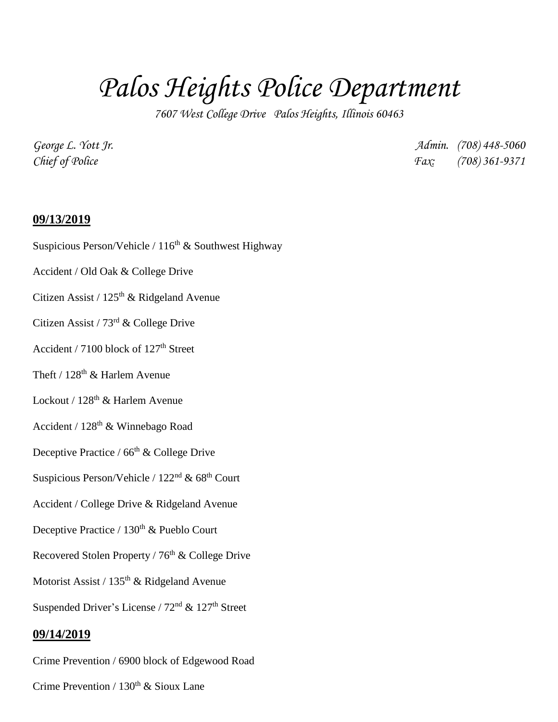## *Palos Heights Police Department*

*7607 West College Drive Palos Heights, Illinois 60463*

*George L. Yott Jr. Admin. (708) 448-5060 Chief of Police Fax: (708) 361-9371*

## **09/13/2019**

- Suspicious Person/Vehicle /  $116^{\text{th}}$  & Southwest Highway
- Accident / Old Oak & College Drive
- Citizen Assist /  $125<sup>th</sup>$  & Ridgeland Avenue
- Citizen Assist / 73rd & College Drive
- Accident / 7100 block of 127<sup>th</sup> Street
- Theft /  $128<sup>th</sup>$  & Harlem Avenue
- Lockout /  $128^{th}$  & Harlem Avenue
- Accident / 128th & Winnebago Road
- Deceptive Practice /  $66<sup>th</sup>$  & College Drive
- Suspicious Person/Vehicle /  $122<sup>nd</sup>$  & 68<sup>th</sup> Court
- Accident / College Drive & Ridgeland Avenue
- Deceptive Practice / 130<sup>th</sup> & Pueblo Court
- Recovered Stolen Property / 76<sup>th</sup> & College Drive
- Motorist Assist / 135<sup>th</sup> & Ridgeland Avenue
- Suspended Driver's License /  $72<sup>nd</sup>$  &  $127<sup>th</sup>$  Street

## **09/14/2019**

Crime Prevention / 6900 block of Edgewood Road

Crime Prevention /  $130<sup>th</sup>$  & Sioux Lane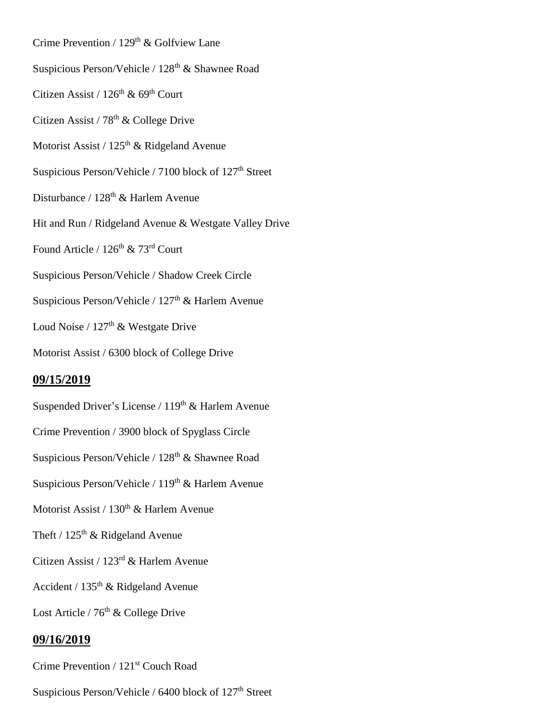Crime Prevention / 129<sup>th</sup> & Golfview Lane Suspicious Person/Vehicle / 128<sup>th</sup> & Shawnee Road Citizen Assist /  $126<sup>th</sup>$  &  $69<sup>th</sup>$  Court Citizen Assist /  $78<sup>th</sup>$  & College Drive Motorist Assist /  $125<sup>th</sup>$  & Ridgeland Avenue Suspicious Person/Vehicle / 7100 block of 127<sup>th</sup> Street Disturbance / 128<sup>th</sup> & Harlem Avenue Hit and Run / Ridgeland Avenue & Westgate Valley Drive Found Article /  $126^{\text{th}}$  &  $73^{\text{rd}}$  Court Suspicious Person/Vehicle / Shadow Creek Circle Suspicious Person/Vehicle /  $127<sup>th</sup>$  & Harlem Avenue Loud Noise /  $127<sup>th</sup>$  & Westgate Drive Motorist Assist / 6300 block of College Drive **09/15/2019** Suspended Driver's License /  $119<sup>th</sup>$  & Harlem Avenue Crime Prevention / 3900 block of Spyglass Circle Suspicious Person/Vehicle /  $128<sup>th</sup>$  & Shawnee Road Suspicious Person/Vehicle / 119<sup>th</sup> & Harlem Avenue Motorist Assist / 130<sup>th</sup> & Harlem Avenue Theft /  $125<sup>th</sup>$  & Ridgeland Avenue Citizen Assist / 123rd & Harlem Avenue Accident /  $135<sup>th</sup>$  & Ridgeland Avenue Lost Article /  $76<sup>th</sup>$  & College Drive

## **09/16/2019**

Crime Prevention / 121<sup>st</sup> Couch Road

Suspicious Person/Vehicle / 6400 block of 127<sup>th</sup> Street